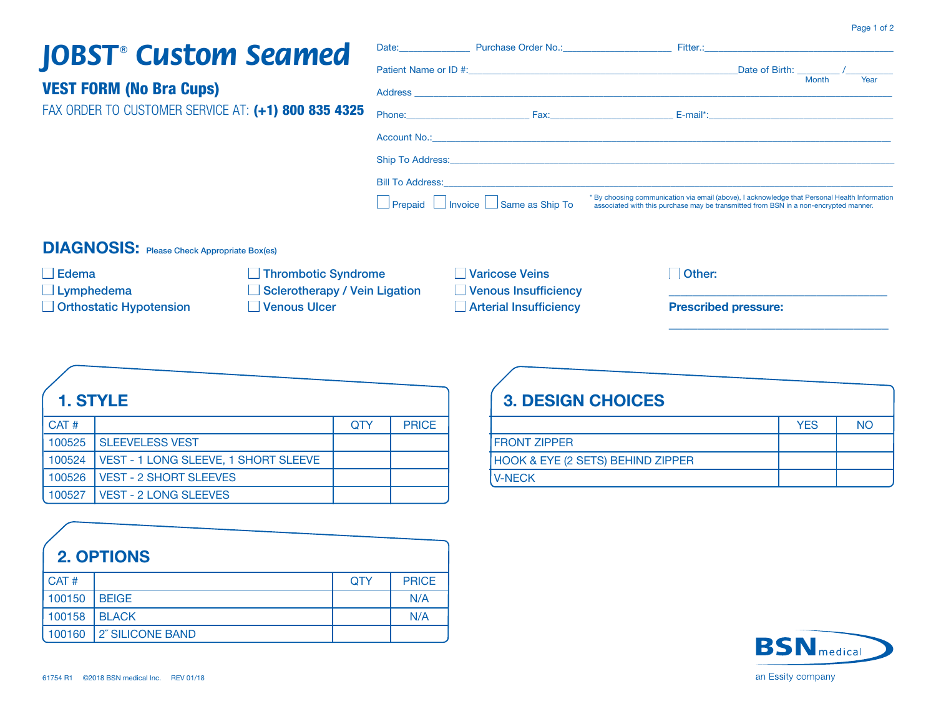#### Page 1 of 2

## **JOBST<sup>®</sup>** Custom Seamed

| <b>JOBST CUSLOM SEAMER</b>                          |                                                                                                                                                                                                                               |                                                                                                                                                                                       |
|-----------------------------------------------------|-------------------------------------------------------------------------------------------------------------------------------------------------------------------------------------------------------------------------------|---------------------------------------------------------------------------------------------------------------------------------------------------------------------------------------|
|                                                     |                                                                                                                                                                                                                               | <b>Month</b><br>Year                                                                                                                                                                  |
| <b>VEST FORM (No Bra Cups)</b>                      |                                                                                                                                                                                                                               |                                                                                                                                                                                       |
| FAX ORDER TO CUSTOMER SERVICE AT: (+1) 800 835 4325 | Phone: East Phone Phone Phone Phone Phone Phone Phone Phone Phone Phone Phone Phone Phone Phone Phone Phone Phone Phone Phone Phone Phone Phone Phone Phone Phone Phone Phone Phone Phone Phone Phone Phone Phone Phone Phone |                                                                                                                                                                                       |
|                                                     |                                                                                                                                                                                                                               |                                                                                                                                                                                       |
|                                                     |                                                                                                                                                                                                                               |                                                                                                                                                                                       |
|                                                     |                                                                                                                                                                                                                               |                                                                                                                                                                                       |
|                                                     | $\Box$ Prepaid $\Box$ Invoice $\Box$ Same as Ship To                                                                                                                                                                          | * By choosing communication via email (above), I acknowledge that Personal Health Information<br>associated with this purchase may be transmitted from BSN in a non-encrypted manner. |

Purchase Order No.:

#### **DIAGNOSIS:** Please Check Appropriate Box(es)

□ Thrombotic Syndrome  $\Box$  Other: □ Varicose Veins  $\Box$  Edema  $\Box$  Lymphedema Sclerotherapy / Vein Ligation Venous Insufficiency Orthostatic Hypotension □ Venous Ulcer Arterial Insufficiency **Prescribed pressure:** 

Date:

#### 1. STYLE

| CAT#   |                                               | <b>OTY</b> | <b>PRICE</b> |
|--------|-----------------------------------------------|------------|--------------|
|        | 100525 SLEEVELESS VEST                        |            |              |
| 100524 | <b>I VEST - 1 LONG SLEEVE, 1 SHORT SLEEVE</b> |            |              |
| 100526 | <b>I VEST - 2 SHORT SLEEVES</b>               |            |              |
| 100527 | <b>VEST - 2 LONG SLEEVES</b>                  |            |              |

|        | <b>2. OPTIONS</b> |            |              |
|--------|-------------------|------------|--------------|
| CAT#   |                   | <b>OTY</b> | <b>PRICE</b> |
| 100150 | <b>BEIGE</b>      |            | N/A          |
| 100158 | <b>BLACK</b>      |            | N/A          |
| 100160 | 2" SILICONE BAND  |            |              |

| <b>3. DESIGN CHOICES</b>                     |            |    |
|----------------------------------------------|------------|----|
|                                              | <b>YES</b> | NO |
| <b>IFRONT ZIPPER</b>                         |            |    |
| <b>HOOK &amp; EYE (2 SETS) BEHIND ZIPPER</b> |            |    |
| <b>V-NECK</b>                                |            |    |

Fitter.: